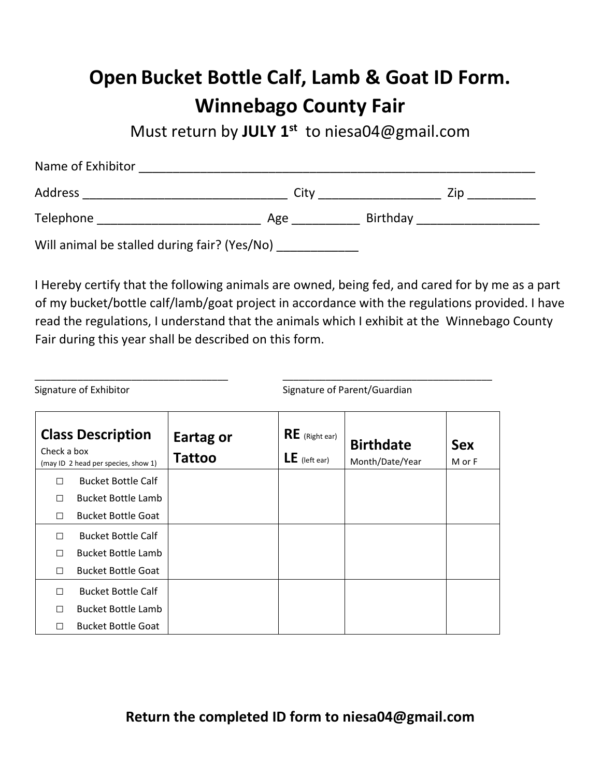## **Open Bucket Bottle Calf, Lamb & Goat ID Form. Winnebago County Fair**

Must return by **JULY 1st** to niesa04@gmail.com

| Name of Exhibitor                            |      |          |     |  |  |  |
|----------------------------------------------|------|----------|-----|--|--|--|
| Address                                      | City |          | Zip |  |  |  |
| Telephone                                    | Age  | Birthday |     |  |  |  |
| Will animal be stalled during fair? (Yes/No) |      |          |     |  |  |  |

I Hereby certify that the following animals are owned, being fed, and cared for by me as a part of my bucket/bottle calf/lamb/goat project in accordance with the regulations provided. I have read the regulations, I understand that the animals which I exhibit at the Winnebago County Fair during this year shall be described on this form.

| Check a box | <b>Class Description</b><br>(may ID 2 head per species, show 1) | Eartag or<br><b>Tattoo</b> | $RE$ (Right ear)<br>$LE$ (left ear) | <b>Birthdate</b><br>Month/Date/Year | <b>Sex</b><br>M or F |
|-------------|-----------------------------------------------------------------|----------------------------|-------------------------------------|-------------------------------------|----------------------|
| П           | <b>Bucket Bottle Calf</b>                                       |                            |                                     |                                     |                      |
| П           | <b>Bucket Bottle Lamb</b>                                       |                            |                                     |                                     |                      |
| П           | <b>Bucket Bottle Goat</b>                                       |                            |                                     |                                     |                      |
| П           | <b>Bucket Bottle Calf</b>                                       |                            |                                     |                                     |                      |
| П           | <b>Bucket Bottle Lamb</b>                                       |                            |                                     |                                     |                      |
| П           | <b>Bucket Bottle Goat</b>                                       |                            |                                     |                                     |                      |
| П           | <b>Bucket Bottle Calf</b>                                       |                            |                                     |                                     |                      |
| П           | <b>Bucket Bottle Lamb</b>                                       |                            |                                     |                                     |                      |
| □           | <b>Bucket Bottle Goat</b>                                       |                            |                                     |                                     |                      |

\_\_\_\_\_\_\_\_\_\_\_\_\_\_\_\_\_\_\_\_\_\_\_\_\_\_\_\_\_\_\_\_\_\_\_\_ \_\_\_\_\_\_\_\_\_\_\_\_\_\_\_\_\_\_\_\_\_\_\_\_\_\_\_\_\_\_\_\_\_\_\_\_\_\_\_

Signature of Exhibitor Signature of Parent/Guardian

**Return the completed ID form to niesa04@gmail.com**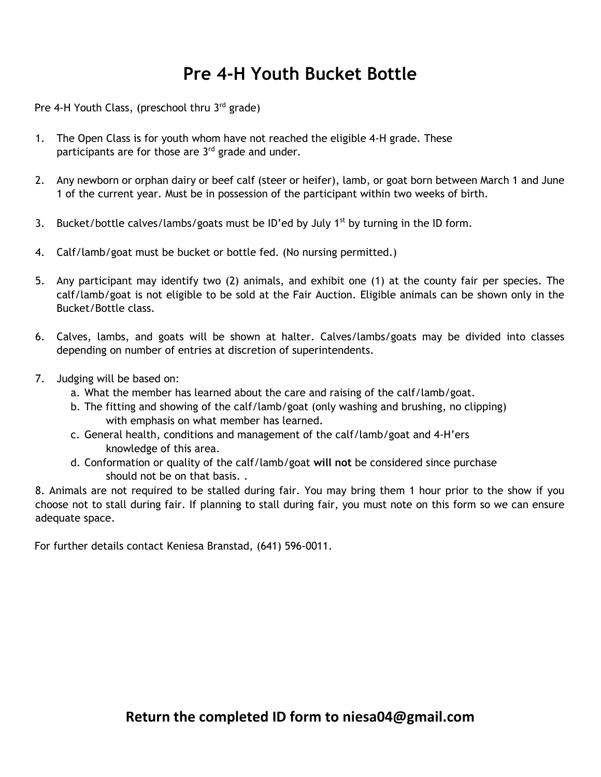## **Pre 4-H Youth Bucket Bottle**

Pre 4-H Youth Class, (preschool thru  $3<sup>rd</sup>$  grade)

- 1. The Open Class is for youth whom have not reached the eligible 4-H grade. These participants are for those are  $3<sup>rd</sup>$  grade and under.
- 2. Any newborn or orphan dairy or beef calf (steer or heifer), lamb, or goat born between March 1 and June 1 of the current year. Must be in possession of the participant within two weeks of birth.
- 3. Bucket/bottle calves/lambs/goats must be ID'ed by July  $1<sup>st</sup>$  by turning in the ID form.
- 4. Calf/lamb/goat must be bucket or bottle fed. (No nursing permitted.)
- 5. Any participant may identify two (2) animals, and exhibit one (1) at the county fair per species. The calf/lamb/goat is not eligible to be sold at the Fair Auction. Eligible animals can be shown only in the Bucket/Bottle class.
- 6. Calves, lambs, and goats will be shown at halter. Calves/lambs/goats may be divided into classes depending on number of entries at discretion of superintendents.
- 7. Judging will be based on:
	- a. What the member has learned about the care and raising of the calf/lamb/goat.
	- b. The fitting and showing of the calf/lamb/goat (only washing and brushing, no clipping) with emphasis on what member has learned.
	- c. General health, conditions and management of the calf/lamb/goat and 4-H'ers knowledge of this area.
	- d. Conformation or quality of the calf/lamb/goat **will not** be considered since purchase should not be on that basis. .

8. Animals are not required to be stalled during fair. You may bring them 1 hour prior to the show if you choose not to stall during fair. If planning to stall during fair, you must note on this form so we can ensure adequate space.

For further details contact Keniesa Branstad, (641) 596-0011.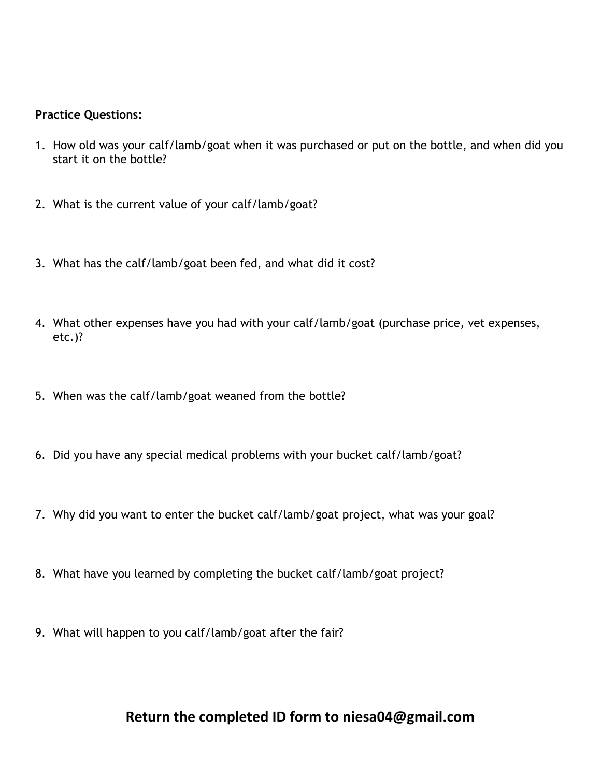## **Practice Questions:**

- 1. How old was your calf/lamb/goat when it was purchased or put on the bottle, and when did you start it on the bottle?
- 2. What is the current value of your calf/lamb/goat?
- 3. What has the calf/lamb/goat been fed, and what did it cost?
- 4. What other expenses have you had with your calf/lamb/goat (purchase price, vet expenses, etc.)?
- 5. When was the calf/lamb/goat weaned from the bottle?
- 6. Did you have any special medical problems with your bucket calf/lamb/goat?
- 7. Why did you want to enter the bucket calf/lamb/goat project, what was your goal?
- 8. What have you learned by completing the bucket calf/lamb/goat project?
- 9. What will happen to you calf/lamb/goat after the fair?

## **Return the completed ID form to niesa04@gmail.com**